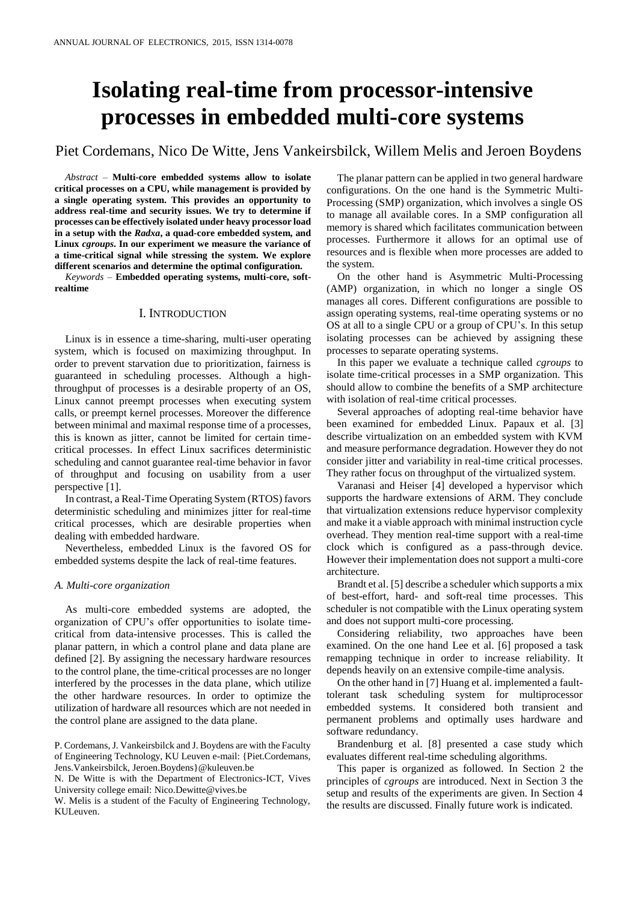# **Isolating real-time from processor-intensive processes in embedded multi-core systems**

# Piet Cordemans, Nico De Witte, Jens Vankeirsbilck, Willem Melis and Jeroen Boydens

*Abstract* – **Multi-core embedded systems allow to isolate critical processes on a CPU, while management is provided by a single operating system. This provides an opportunity to address real-time and security issues. We try to determine if processes can be effectively isolated under heavy processor load in a setup with the** *Radxa***, a quad-core embedded system, and Linux** *cgroups***. In our experiment we measure the variance of a time-critical signal while stressing the system. We explore different scenarios and determine the optimal configuration.**

*Keywords* – **Embedded operating systems, multi-core, softrealtime**

# I. INTRODUCTION

Linux is in essence a time-sharing, multi-user operating system, which is focused on maximizing throughput. In order to prevent starvation due to prioritization, fairness is guaranteed in scheduling processes. Although a highthroughput of processes is a desirable property of an OS, Linux cannot preempt processes when executing system calls, or preempt kernel processes. Moreover the difference between minimal and maximal response time of a processes, this is known as jitter, cannot be limited for certain timecritical processes. In effect Linux sacrifices deterministic scheduling and cannot guarantee real-time behavior in favor of throughput and focusing on usability from a user perspective [1].

In contrast, a Real-Time Operating System (RTOS) favors deterministic scheduling and minimizes jitter for real-time critical processes, which are desirable properties when dealing with embedded hardware.

Nevertheless, embedded Linux is the favored OS for embedded systems despite the lack of real-time features.

#### *A. Multi-core organization*

As multi-core embedded systems are adopted, the organization of CPU's offer opportunities to isolate timecritical from data-intensive processes. This is called the planar pattern, in which a control plane and data plane are defined [2]. By assigning the necessary hardware resources to the control plane, the time-critical processes are no longer interfered by the processes in the data plane, which utilize the other hardware resources. In order to optimize the utilization of hardware all resources which are not needed in the control plane are assigned to the data plane.

P. Cordemans, J. Vankeirsbilck and J. Boydens are with the Faculty of Engineering Technology, KU Leuven e-mail: {Piet.Cordemans, Jens.Vankeirsbilck, Jeroen.Boydens}@kuleuven.be

N. De Witte is with the Department of Electronics-ICT, Vives University college email: Nico.Dewitte@vives.be

W. Melis is a student of the Faculty of Engineering Technology, KUL euven.

The planar pattern can be applied in two general hardware configurations. On the one hand is the Symmetric Multi-Processing (SMP) organization, which involves a single OS to manage all available cores. In a SMP configuration all memory is shared which facilitates communication between processes. Furthermore it allows for an optimal use of resources and is flexible when more processes are added to the system.

On the other hand is Asymmetric Multi-Processing (AMP) organization, in which no longer a single OS manages all cores. Different configurations are possible to assign operating systems, real-time operating systems or no OS at all to a single CPU or a group of CPU's. In this setup isolating processes can be achieved by assigning these processes to separate operating systems.

In this paper we evaluate a technique called *cgroups* to isolate time-critical processes in a SMP organization. This should allow to combine the benefits of a SMP architecture with isolation of real-time critical processes.

Several approaches of adopting real-time behavior have been examined for embedded Linux. Papaux et al. [3] describe virtualization on an embedded system with KVM and measure performance degradation. However they do not consider jitter and variability in real-time critical processes. They rather focus on throughput of the virtualized system.

Varanasi and Heiser [4] developed a hypervisor which supports the hardware extensions of ARM. They conclude that virtualization extensions reduce hypervisor complexity and make it a viable approach with minimal instruction cycle overhead. They mention real-time support with a real-time clock which is configured as a pass-through device. However their implementation does not support a multi-core architecture.

Brandt et al. [5] describe a scheduler which supports a mix of best-effort, hard- and soft-real time processes. This scheduler is not compatible with the Linux operating system and does not support multi-core processing.

Considering reliability, two approaches have been examined. On the one hand Lee et al. [6] proposed a task remapping technique in order to increase reliability. It depends heavily on an extensive compile-time analysis.

On the other hand in [7] Huang et al. implemented a faulttolerant task scheduling system for multiprocessor embedded systems. It considered both transient and permanent problems and optimally uses hardware and software redundancy.

Brandenburg et al. [8] presented a case study which evaluates different real-time scheduling algorithms.

This paper is organized as followed. In Section 2 the principles of *cgroups* are introduced. Next in Section 3 the setup and results of the experiments are given. In Section 4 the results are discussed. Finally future work is indicated.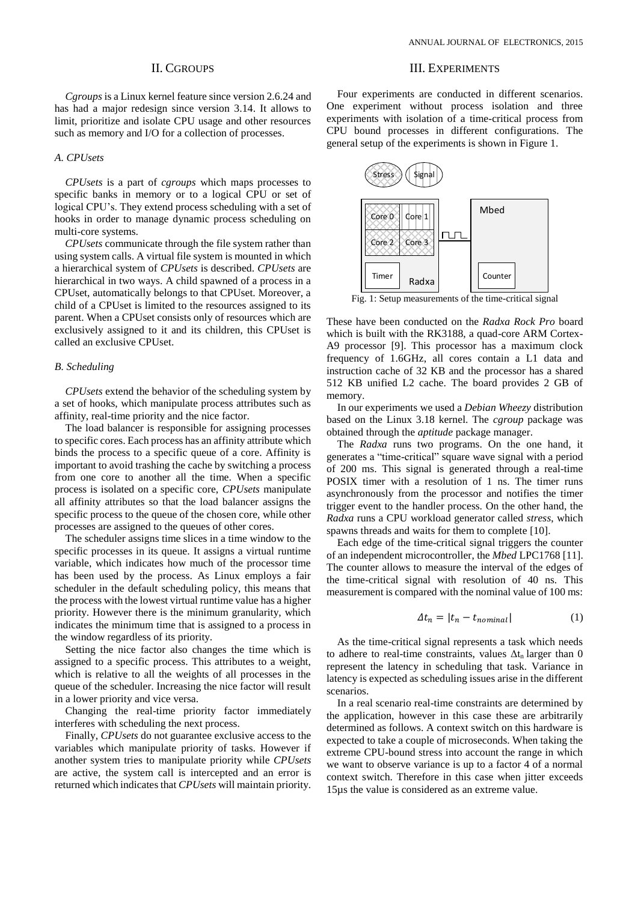# II. CGROUPS

*Cgroups* is a Linux kernel feature since version 2.6.24 and has had a major redesign since version 3.14. It allows to limit, prioritize and isolate CPU usage and other resources such as memory and I/O for a collection of processes.

# *A. CPUsets*

*CPUsets* is a part of *cgroups* which maps processes to specific banks in memory or to a logical CPU or set of logical CPU's. They extend process scheduling with a set of hooks in order to manage dynamic process scheduling on multi-core systems.

*CPUsets* communicate through the file system rather than using system calls. A virtual file system is mounted in which a hierarchical system of *CPUsets* is described. *CPUsets* are hierarchical in two ways. A child spawned of a process in a CPUset, automatically belongs to that CPUset. Moreover, a child of a CPUset is limited to the resources assigned to its parent. When a CPUset consists only of resources which are exclusively assigned to it and its children, this CPUset is called an exclusive CPUset.

#### *B. Scheduling*

*CPUsets* extend the behavior of the scheduling system by a set of hooks, which manipulate process attributes such as affinity, real-time priority and the nice factor.

The load balancer is responsible for assigning processes to specific cores. Each process has an affinity attribute which binds the process to a specific queue of a core. Affinity is important to avoid trashing the cache by switching a process from one core to another all the time. When a specific process is isolated on a specific core, *CPUsets* manipulate all affinity attributes so that the load balancer assigns the specific process to the queue of the chosen core, while other processes are assigned to the queues of other cores.

The scheduler assigns time slices in a time window to the specific processes in its queue. It assigns a virtual runtime variable, which indicates how much of the processor time has been used by the process. As Linux employs a fair scheduler in the default scheduling policy, this means that the process with the lowest virtual runtime value has a higher priority. However there is the minimum granularity, which indicates the minimum time that is assigned to a process in the window regardless of its priority.

Setting the nice factor also changes the time which is assigned to a specific process. This attributes to a weight, which is relative to all the weights of all processes in the queue of the scheduler. Increasing the nice factor will result in a lower priority and vice versa.

Changing the real-time priority factor immediately interferes with scheduling the next process.

Finally, *CPUsets* do not guarantee exclusive access to the variables which manipulate priority of tasks. However if another system tries to manipulate priority while *CPUsets* are active, the system call is intercepted and an error is returned which indicates that *CPUsets* will maintain priority.

#### III. EXPERIMENTS

Four experiments are conducted in different scenarios. One experiment without process isolation and three experiments with isolation of a time-critical process from CPU bound processes in different configurations. The general setup of the experiments is shown in Figure 1.



Fig. 1: Setup measurements of the time-critical signal

These have been conducted on the *Radxa Rock Pro* board which is built with the RK3188, a quad-core ARM Cortex-A9 processor [9]. This processor has a maximum clock frequency of 1.6GHz, all cores contain a L1 data and instruction cache of 32 KB and the processor has a shared 512 KB unified L2 cache. The board provides 2 GB of memory.

In our experiments we used a *Debian Wheezy* distribution based on the Linux 3.18 kernel. The *cgroup* package was obtained through the *aptitude* package manager.

The *Radxa* runs two programs. On the one hand, it generates a "time-critical" square wave signal with a period of 200 ms. This signal is generated through a real-time POSIX timer with a resolution of 1 ns. The timer runs asynchronously from the processor and notifies the timer trigger event to the handler process. On the other hand, the *Radxa* runs a CPU workload generator called *stress*, which spawns threads and waits for them to complete [10].

Each edge of the time-critical signal triggers the counter of an independent microcontroller, the *Mbed* LPC1768 [11]. The counter allows to measure the interval of the edges of the time-critical signal with resolution of 40 ns. This measurement is compared with the nominal value of 100 ms:

$$
\Delta t_n = |t_n - t_{nominal}| \tag{1}
$$

As the time-critical signal represents a task which needs to adhere to real-time constraints, values  $\Delta t_n$  larger than 0 represent the latency in scheduling that task. Variance in latency is expected as scheduling issues arise in the different scenarios.

In a real scenario real-time constraints are determined by the application, however in this case these are arbitrarily determined as follows. A context switch on this hardware is expected to take a couple of microseconds. When taking the extreme CPU-bound stress into account the range in which we want to observe variance is up to a factor 4 of a normal context switch. Therefore in this case when jitter exceeds 15µs the value is considered as an extreme value.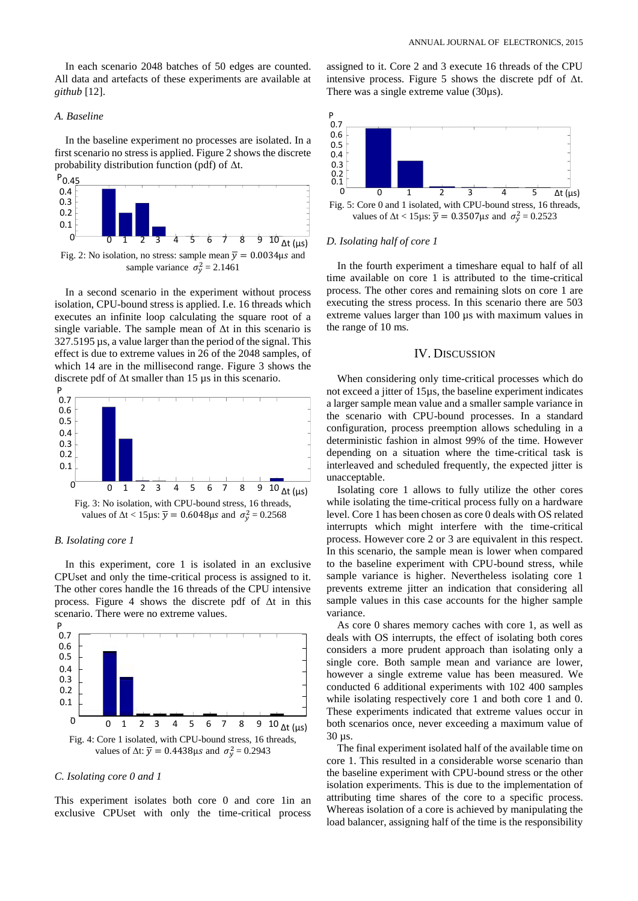In each scenario 2048 batches of 50 edges are counted. All data and artefacts of these experiments are available at *github* [12].

## *A. Baseline*

In the baseline experiment no processes are isolated. In a first scenario no stress is applied. Figure 2 shows the discrete probability distribution function (pdf) of Δt.



Fig. 2: No isolation, no stress: sample mean  $\overline{y} = 0.0034 \mu s$  and sample variance  $\sigma_y^2 = 2.1461$ 

In a second scenario in the experiment without process isolation, CPU-bound stress is applied. I.e. 16 threads which executes an infinite loop calculating the square root of a single variable. The sample mean of  $\Delta t$  in this scenario is 327.5195 µs, a value larger than the period of the signal. This effect is due to extreme values in 26 of the 2048 samples, of which 14 are in the millisecond range. Figure 3 shows the discrete pdf of Δt smaller than 15 µs in this scenario.



#### *B. Isolating core 1*

In this experiment, core 1 is isolated in an exclusive CPUset and only the time-critical process is assigned to it. The other cores handle the 16 threads of the CPU intensive process. Figure 4 shows the discrete pdf of Δt in this scenario. There were no extreme values.



#### *C. Isolating core 0 and 1*

This experiment isolates both core 0 and core 1in an exclusive CPUset with only the time-critical process

assigned to it. Core 2 and 3 execute 16 threads of the CPU intensive process. Figure 5 shows the discrete pdf of  $\Delta t$ . There was a single extreme value (30µs).



#### *D. Isolating half of core 1*

In the fourth experiment a timeshare equal to half of all time available on core 1 is attributed to the time-critical process. The other cores and remaining slots on core 1 are executing the stress process. In this scenario there are 503 extreme values larger than 100 µs with maximum values in the range of 10 ms.

#### IV. DISCUSSION

When considering only time-critical processes which do not exceed a jitter of 15µs, the baseline experiment indicates a larger sample mean value and a smaller sample variance in the scenario with CPU-bound processes. In a standard configuration, process preemption allows scheduling in a deterministic fashion in almost 99% of the time. However depending on a situation where the time-critical task is interleaved and scheduled frequently, the expected jitter is unacceptable.

Isolating core 1 allows to fully utilize the other cores while isolating the time-critical process fully on a hardware level. Core 1 has been chosen as core 0 deals with OS related interrupts which might interfere with the time-critical process. However core 2 or 3 are equivalent in this respect. In this scenario, the sample mean is lower when compared to the baseline experiment with CPU-bound stress, while sample variance is higher. Nevertheless isolating core 1 prevents extreme jitter an indication that considering all sample values in this case accounts for the higher sample variance.

As core 0 shares memory caches with core 1, as well as deals with OS interrupts, the effect of isolating both cores considers a more prudent approach than isolating only a single core. Both sample mean and variance are lower, however a single extreme value has been measured. We conducted 6 additional experiments with 102 400 samples while isolating respectively core 1 and both core 1 and 0. These experiments indicated that extreme values occur in both scenarios once, never exceeding a maximum value of 30 µs.

The final experiment isolated half of the available time on core 1. This resulted in a considerable worse scenario than the baseline experiment with CPU-bound stress or the other isolation experiments. This is due to the implementation of attributing time shares of the core to a specific process. Whereas isolation of a core is achieved by manipulating the load balancer, assigning half of the time is the responsibility